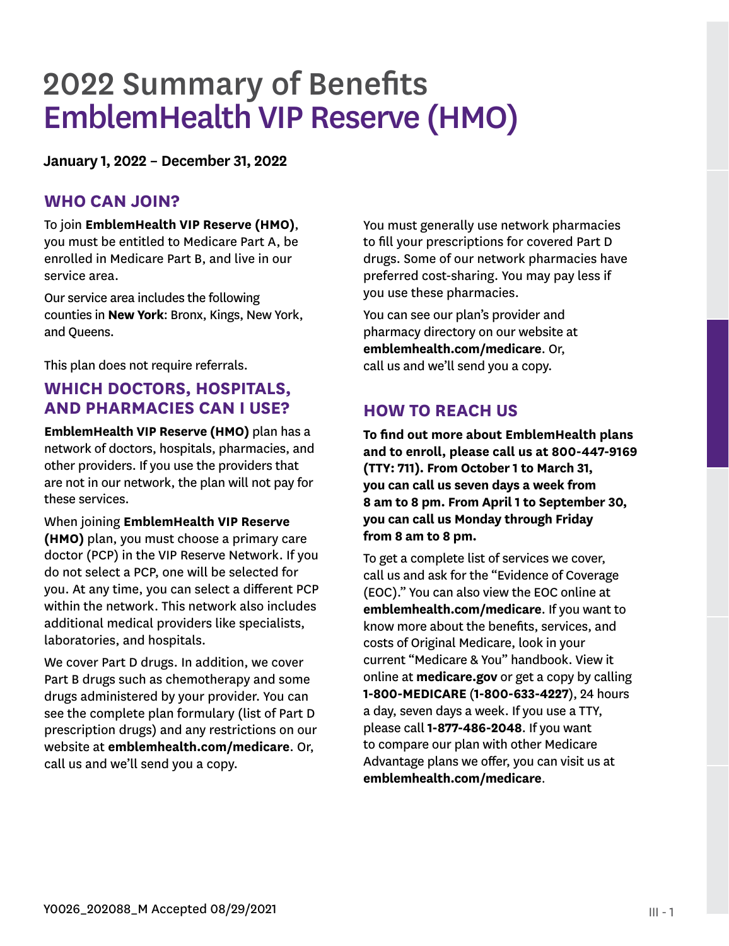# 2022 Summary of Benefits EmblemHealth VIP Reserve (HMO)

**January 1, 2022 – December 31, 2022**

## **WHO CAN JOIN?**

To join **EmblemHealth VIP Reserve (HMO)**, you must be entitled to Medicare Part A, be enrolled in Medicare Part B, and live in our service area.

Our service area includes the following counties in **New York**: Bronx, Kings, New York, and Queens.

This plan does not require referrals.

## **WHICH DOCTORS, HOSPITALS, AND PHARMACIES CAN I USE?**

**EmblemHealth VIP Reserve (HMO)** plan has a network of doctors, hospitals, pharmacies, and other providers. If you use the providers that are not in our network, the plan will not pay for these services.

When joining **EmblemHealth VIP Reserve (HMO)** plan, you must choose a primary care doctor (PCP) in the VIP Reserve Network. If you do not select a PCP, one will be selected for you. At any time, you can select a different PCP within the network. This network also includes additional medical providers like specialists, laboratories, and hospitals.

We cover Part D drugs. In addition, we cover Part B drugs such as chemotherapy and some drugs administered by your provider. You can see the complete plan formulary (list of Part D prescription drugs) and any restrictions on our website at **emblemhealth.com/medicare**. Or, call us and we'll send you a copy.

You must generally use network pharmacies to fill your prescriptions for covered Part D drugs. Some of our network pharmacies have preferred cost-sharing. You may pay less if you use these pharmacies.

You can see our plan's provider and pharmacy directory on our website at **emblemhealth.com/medicare**. Or, call us and we'll send you a copy.

# **HOW TO REACH US**

**To find out more about EmblemHealth plans and to enroll, please call us at 800-447-9169 (TTY: 711). From October 1 to March 31, you can call us seven days a week from 8 am to 8 pm. From April 1 to September 30, you can call us Monday through Friday from 8 am to 8 pm.** 

To get a complete list of services we cover, call us and ask for the "Evidence of Coverage (EOC)." You can also view the EOC online at **emblemhealth.com/medicare**. If you want to know more about the benefits, services, and costs of Original Medicare, look in your current "Medicare & You" handbook. View it online at **medicare.gov** or get a copy by calling **1-800-MEDICARE** (**1-800-633-4227**), 24 hours a day, seven days a week. If you use a TTY, please call **1-877-486-2048**. If you want to compare our plan with other Medicare Advantage plans we offer, you can visit us at **emblemhealth.com/medicare**.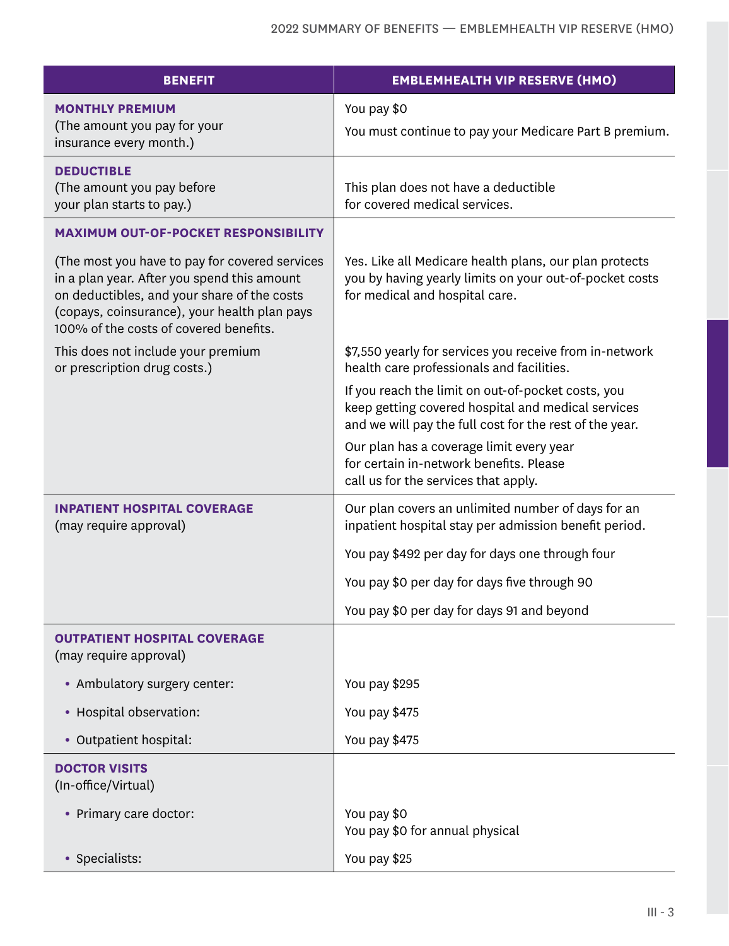| <b>BENEFIT</b>                                                                                                                                                                                                                         | <b>EMBLEMHEALTH VIP RESERVE (HMO)</b>                                                                                                                               |
|----------------------------------------------------------------------------------------------------------------------------------------------------------------------------------------------------------------------------------------|---------------------------------------------------------------------------------------------------------------------------------------------------------------------|
| <b>MONTHLY PREMIUM</b><br>(The amount you pay for your<br>insurance every month.)                                                                                                                                                      | You pay \$0<br>You must continue to pay your Medicare Part B premium.                                                                                               |
| <b>DEDUCTIBLE</b><br>(The amount you pay before<br>your plan starts to pay.)                                                                                                                                                           | This plan does not have a deductible<br>for covered medical services.                                                                                               |
| <b>MAXIMUM OUT-OF-POCKET RESPONSIBILITY</b>                                                                                                                                                                                            |                                                                                                                                                                     |
| (The most you have to pay for covered services<br>in a plan year. After you spend this amount<br>on deductibles, and your share of the costs<br>(copays, coinsurance), your health plan pays<br>100% of the costs of covered benefits. | Yes. Like all Medicare health plans, our plan protects<br>you by having yearly limits on your out-of-pocket costs<br>for medical and hospital care.                 |
| This does not include your premium<br>or prescription drug costs.)                                                                                                                                                                     | \$7,550 yearly for services you receive from in-network<br>health care professionals and facilities.                                                                |
|                                                                                                                                                                                                                                        | If you reach the limit on out-of-pocket costs, you<br>keep getting covered hospital and medical services<br>and we will pay the full cost for the rest of the year. |
|                                                                                                                                                                                                                                        | Our plan has a coverage limit every year<br>for certain in-network benefits. Please<br>call us for the services that apply.                                         |
| <b>INPATIENT HOSPITAL COVERAGE</b><br>(may require approval)                                                                                                                                                                           | Our plan covers an unlimited number of days for an<br>inpatient hospital stay per admission benefit period.                                                         |
|                                                                                                                                                                                                                                        | You pay \$492 per day for days one through four                                                                                                                     |
|                                                                                                                                                                                                                                        | You pay \$0 per day for days five through 90                                                                                                                        |
|                                                                                                                                                                                                                                        | You pay \$0 per day for days 91 and beyond                                                                                                                          |
| <b>OUTPATIENT HOSPITAL COVERAGE</b><br>(may require approval)                                                                                                                                                                          |                                                                                                                                                                     |
| • Ambulatory surgery center:                                                                                                                                                                                                           | You pay \$295                                                                                                                                                       |
| • Hospital observation:                                                                                                                                                                                                                | You pay \$475                                                                                                                                                       |
| • Outpatient hospital:                                                                                                                                                                                                                 | You pay \$475                                                                                                                                                       |
| <b>DOCTOR VISITS</b><br>(In-office/Virtual)                                                                                                                                                                                            |                                                                                                                                                                     |
| • Primary care doctor:                                                                                                                                                                                                                 | You pay \$0<br>You pay \$0 for annual physical                                                                                                                      |
| Specialists:                                                                                                                                                                                                                           | You pay \$25                                                                                                                                                        |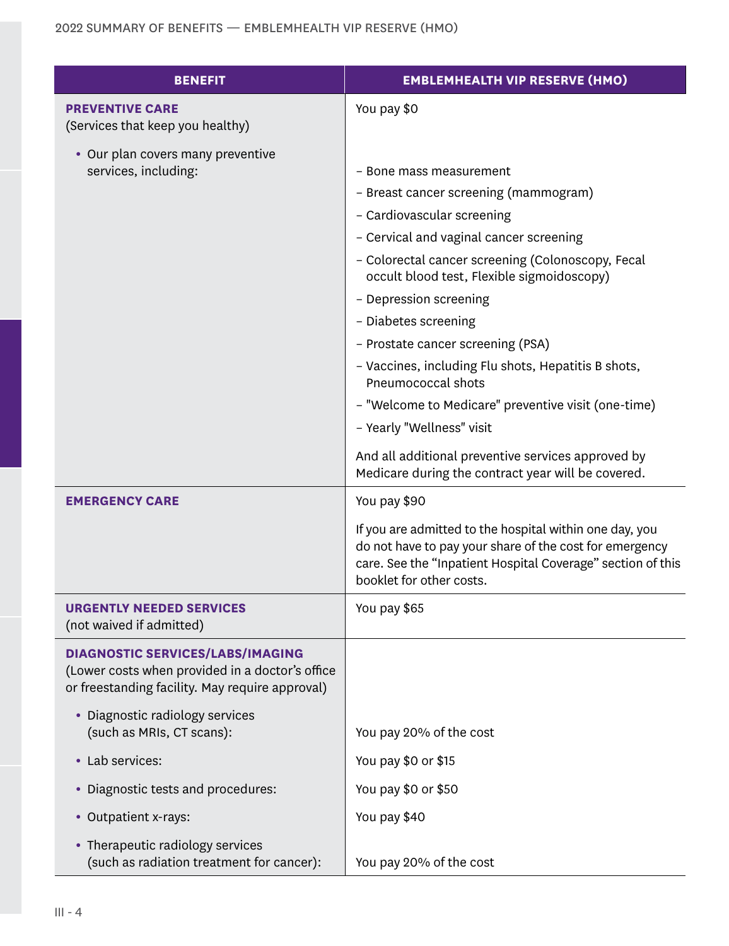| BENEFIT                                                                                                                                       | <b>EMBLEMHEALTH VIP RESERVE (HMO)</b>                                                                                                                                                                         |
|-----------------------------------------------------------------------------------------------------------------------------------------------|---------------------------------------------------------------------------------------------------------------------------------------------------------------------------------------------------------------|
| <b>PREVENTIVE CARE</b>                                                                                                                        | You pay \$0                                                                                                                                                                                                   |
| (Services that keep you healthy)                                                                                                              |                                                                                                                                                                                                               |
| • Our plan covers many preventive<br>services, including:                                                                                     | - Bone mass measurement                                                                                                                                                                                       |
|                                                                                                                                               | - Breast cancer screening (mammogram)                                                                                                                                                                         |
|                                                                                                                                               | - Cardiovascular screening                                                                                                                                                                                    |
|                                                                                                                                               | - Cervical and vaginal cancer screening                                                                                                                                                                       |
|                                                                                                                                               | - Colorectal cancer screening (Colonoscopy, Fecal                                                                                                                                                             |
|                                                                                                                                               | occult blood test, Flexible sigmoidoscopy)                                                                                                                                                                    |
|                                                                                                                                               | - Depression screening                                                                                                                                                                                        |
|                                                                                                                                               | - Diabetes screening                                                                                                                                                                                          |
|                                                                                                                                               | - Prostate cancer screening (PSA)                                                                                                                                                                             |
|                                                                                                                                               | - Vaccines, including Flu shots, Hepatitis B shots,<br>Pneumococcal shots                                                                                                                                     |
|                                                                                                                                               | - "Welcome to Medicare" preventive visit (one-time)                                                                                                                                                           |
|                                                                                                                                               | - Yearly "Wellness" visit                                                                                                                                                                                     |
|                                                                                                                                               | And all additional preventive services approved by                                                                                                                                                            |
|                                                                                                                                               | Medicare during the contract year will be covered.                                                                                                                                                            |
| <b>EMERGENCY CARE</b>                                                                                                                         | You pay \$90                                                                                                                                                                                                  |
|                                                                                                                                               | If you are admitted to the hospital within one day, you<br>do not have to pay your share of the cost for emergency<br>care. See the "Inpatient Hospital Coverage" section of this<br>booklet for other costs. |
| URGENTLY NEEDED SERVICES<br>(not waived if admitted)                                                                                          | You pay \$65                                                                                                                                                                                                  |
| <b>DIAGNOSTIC SERVICES/LABS/IMAGING</b><br>(Lower costs when provided in a doctor's office<br>or freestanding facility. May require approval) |                                                                                                                                                                                                               |
| • Diagnostic radiology services<br>(such as MRIs, CT scans):                                                                                  | You pay 20% of the cost                                                                                                                                                                                       |
| • Lab services:                                                                                                                               | You pay \$0 or \$15                                                                                                                                                                                           |
| • Diagnostic tests and procedures:                                                                                                            | You pay \$0 or \$50                                                                                                                                                                                           |
| • Outpatient x-rays:                                                                                                                          | You pay \$40                                                                                                                                                                                                  |
| • Therapeutic radiology services                                                                                                              |                                                                                                                                                                                                               |
| (such as radiation treatment for cancer):                                                                                                     | You pay 20% of the cost                                                                                                                                                                                       |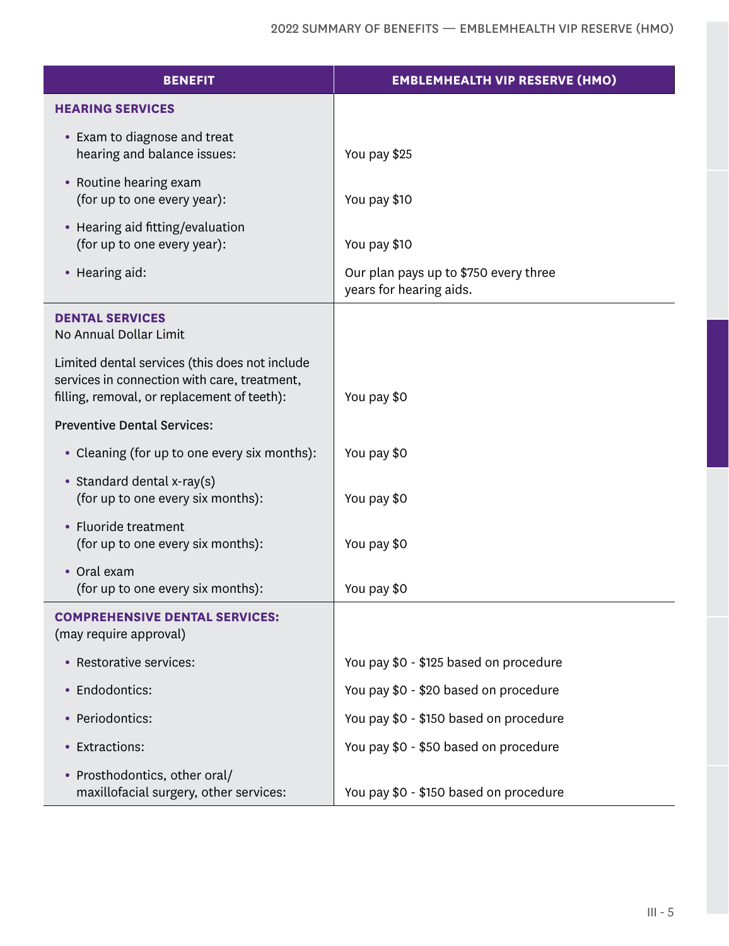| <b>BENEFIT</b>                                                                                                                                | <b>EMBLEMHEALTH VIP RESERVE (HMO)</b>                            |
|-----------------------------------------------------------------------------------------------------------------------------------------------|------------------------------------------------------------------|
| <b>HEARING SERVICES</b>                                                                                                                       |                                                                  |
| • Exam to diagnose and treat<br>hearing and balance issues:                                                                                   | You pay \$25                                                     |
| • Routine hearing exam<br>(for up to one every year):                                                                                         | You pay \$10                                                     |
| • Hearing aid fitting/evaluation<br>(for up to one every year):                                                                               | You pay \$10                                                     |
| • Hearing aid:                                                                                                                                | Our plan pays up to \$750 every three<br>years for hearing aids. |
| <b>DENTAL SERVICES</b><br>No Annual Dollar Limit                                                                                              |                                                                  |
| Limited dental services (this does not include<br>services in connection with care, treatment,<br>filling, removal, or replacement of teeth): | You pay \$0                                                      |
| <b>Preventive Dental Services:</b>                                                                                                            |                                                                  |
| • Cleaning (for up to one every six months):                                                                                                  | You pay \$0                                                      |
| • Standard dental x-ray(s)<br>(for up to one every six months):                                                                               | You pay \$0                                                      |
| • Fluoride treatment<br>(for up to one every six months):                                                                                     | You pay \$0                                                      |
| • Oral exam<br>(for up to one every six months):                                                                                              | You pay \$0                                                      |
| <b>COMPREHENSIVE DENTAL SERVICES:</b><br>(may require approval)                                                                               |                                                                  |
| • Restorative services:                                                                                                                       | You pay \$0 - \$125 based on procedure                           |
| • Endodontics:                                                                                                                                | You pay \$0 - \$20 based on procedure                            |
| • Periodontics:                                                                                                                               | You pay \$0 - \$150 based on procedure                           |
| • Extractions:                                                                                                                                | You pay \$0 - \$50 based on procedure                            |
| • Prosthodontics, other oral/<br>maxillofacial surgery, other services:                                                                       | You pay \$0 - \$150 based on procedure                           |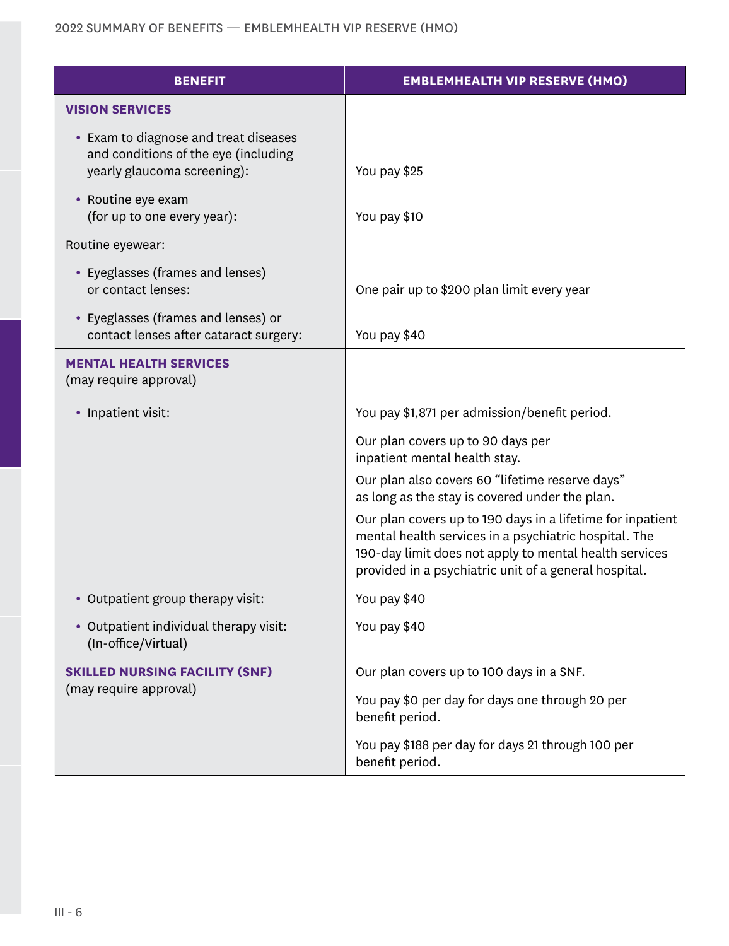| <b>BENEFIT</b>                                                                                               | <b>EMBLEMHEALTH VIP RESERVE (HMO)</b>                                                                                                                                                                                                  |
|--------------------------------------------------------------------------------------------------------------|----------------------------------------------------------------------------------------------------------------------------------------------------------------------------------------------------------------------------------------|
| <b>VISION SERVICES</b>                                                                                       |                                                                                                                                                                                                                                        |
| • Exam to diagnose and treat diseases<br>and conditions of the eye (including<br>yearly glaucoma screening): | You pay \$25                                                                                                                                                                                                                           |
| • Routine eye exam<br>(for up to one every year):                                                            | You pay \$10                                                                                                                                                                                                                           |
| Routine eyewear:                                                                                             |                                                                                                                                                                                                                                        |
| • Eyeglasses (frames and lenses)<br>or contact lenses:                                                       | One pair up to \$200 plan limit every year                                                                                                                                                                                             |
| • Eyeglasses (frames and lenses) or<br>contact lenses after cataract surgery:                                | You pay \$40                                                                                                                                                                                                                           |
| <b>MENTAL HEALTH SERVICES</b><br>(may require approval)                                                      |                                                                                                                                                                                                                                        |
| • Inpatient visit:                                                                                           | You pay \$1,871 per admission/benefit period.                                                                                                                                                                                          |
|                                                                                                              | Our plan covers up to 90 days per<br>inpatient mental health stay.                                                                                                                                                                     |
|                                                                                                              | Our plan also covers 60 "lifetime reserve days"<br>as long as the stay is covered under the plan.                                                                                                                                      |
|                                                                                                              | Our plan covers up to 190 days in a lifetime for inpatient<br>mental health services in a psychiatric hospital. The<br>190-day limit does not apply to mental health services<br>provided in a psychiatric unit of a general hospital. |
| • Outpatient group therapy visit:                                                                            | You pay \$40                                                                                                                                                                                                                           |
| • Outpatient individual therapy visit:<br>(In-office/Virtual)                                                | You pay \$40                                                                                                                                                                                                                           |
| <b>SKILLED NURSING FACILITY (SNF)</b>                                                                        | Our plan covers up to 100 days in a SNF.                                                                                                                                                                                               |
| (may require approval)                                                                                       | You pay \$0 per day for days one through 20 per<br>benefit period.                                                                                                                                                                     |
|                                                                                                              | You pay \$188 per day for days 21 through 100 per<br>benefit period.                                                                                                                                                                   |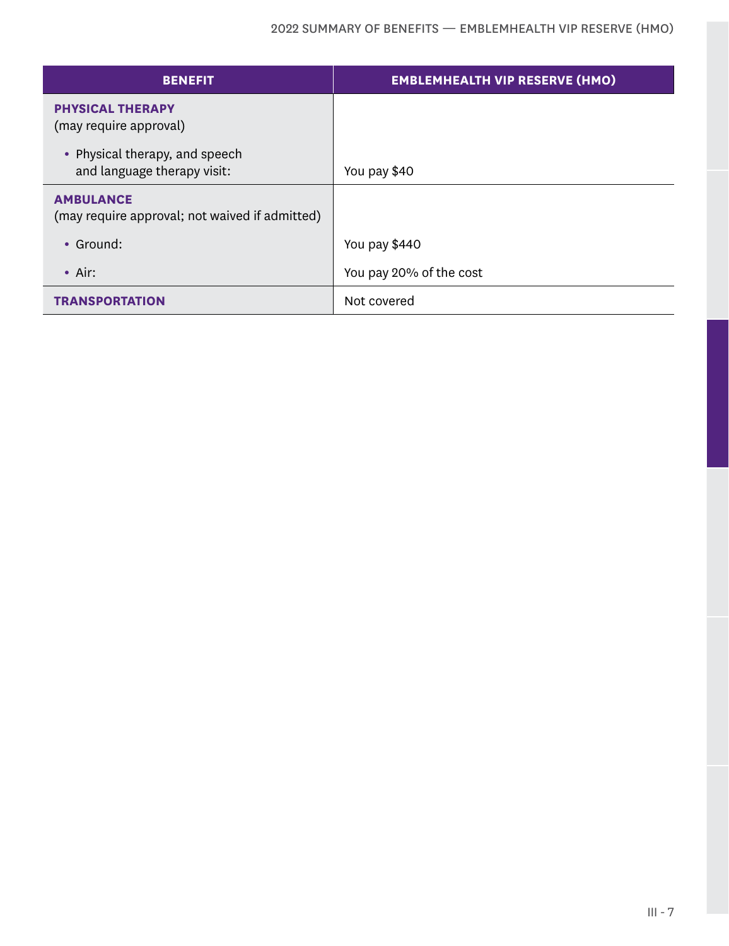| <b>BENEFIT</b>                                                     | <b>EMBLEMHEALTH VIP RESERVE (HMO)</b> |
|--------------------------------------------------------------------|---------------------------------------|
| <b>PHYSICAL THERAPY</b><br>(may require approval)                  |                                       |
| • Physical therapy, and speech<br>and language therapy visit:      | You pay \$40                          |
| <b>AMBULANCE</b><br>(may require approval; not waived if admitted) |                                       |
| • Ground:                                                          | You pay \$440                         |
| $\bullet$ Air:                                                     | You pay 20% of the cost               |
| <b>TRANSPORTATION</b>                                              | Not covered                           |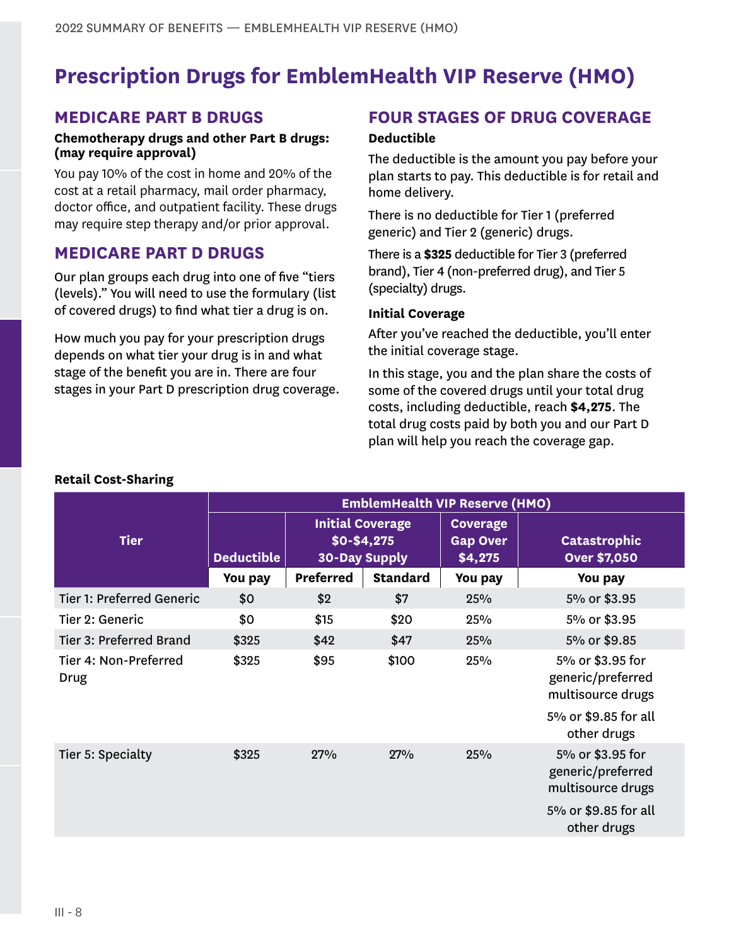# **Prescription Drugs for EmblemHealth VIP Reserve (HMO)**

### **MEDICARE PART B DRUGS**

#### **Chemotherapy drugs and other Part B drugs: (may require approval)**

You pay 10% of the cost in home and 20% of the cost at a retail pharmacy, mail order pharmacy, doctor office, and outpatient facility. These drugs may require step therapy and/or prior approval.

### **MEDICARE PART D DRUGS**

Our plan groups each drug into one of five "tiers (levels)." You will need to use the formulary (list of covered drugs) to find what tier a drug is on.

How much you pay for your prescription drugs depends on what tier your drug is in and what stage of the benefit you are in. There are four stages in your Part D prescription drug coverage.

## **FOUR STAGES OF DRUG COVERAGE**

#### **Deductible**

The deductible is the amount you pay before your plan starts to pay. This deductible is for retail and home delivery.

There is no deductible for Tier 1 (preferred generic) and Tier 2 (generic) drugs.

There is a **\$325** deductible for Tier 3 (preferred brand), Tier 4 (non-preferred drug), and Tier 5 (specialty) drugs.

#### **Initial Coverage**

After you've reached the deductible, you'll enter the initial coverage stage.

In this stage, you and the plan share the costs of some of the covered drugs until your total drug costs, including deductible, reach **\$4,275**. The total drug costs paid by both you and our Part D plan will help you reach the coverage gap.

|                                  | <b>EmblemHealth VIP Reserve (HMO)</b> |           |                                                                  |                                               |                                                            |
|----------------------------------|---------------------------------------|-----------|------------------------------------------------------------------|-----------------------------------------------|------------------------------------------------------------|
| <b>Tier</b>                      | <b>Deductible</b>                     |           | <b>Initial Coverage</b><br>$$0 - $4,275$<br><b>30-Day Supply</b> | <b>Coverage</b><br><b>Gap Over</b><br>\$4,275 | <b>Catastrophic</b><br><b>Over \$7,050</b>                 |
|                                  | You pay                               | Preferred | <b>Standard</b>                                                  | You pay                                       | You pay                                                    |
| <b>Tier 1: Preferred Generic</b> | \$0                                   | \$2       | \$7                                                              | 25%                                           | 5% or \$3.95                                               |
| Tier 2: Generic                  | \$0                                   | \$15      | \$20                                                             | 25%                                           | 5% or \$3.95                                               |
| Tier 3: Preferred Brand          | \$325                                 | \$42      | \$47                                                             | 25%                                           | 5% or \$9.85                                               |
| Tier 4: Non-Preferred<br>Drug    | \$325                                 | \$95      | \$100                                                            | 25%                                           | 5% or \$3.95 for<br>generic/preferred<br>multisource drugs |
|                                  |                                       |           |                                                                  |                                               | 5% or \$9.85 for all<br>other drugs                        |
| Tier 5: Specialty                | \$325                                 | 27%       | 27%                                                              | 25%                                           | 5% or \$3.95 for<br>generic/preferred<br>multisource drugs |
|                                  |                                       |           |                                                                  |                                               | 5% or \$9.85 for all<br>other drugs                        |

#### **Retail Cost-Sharing**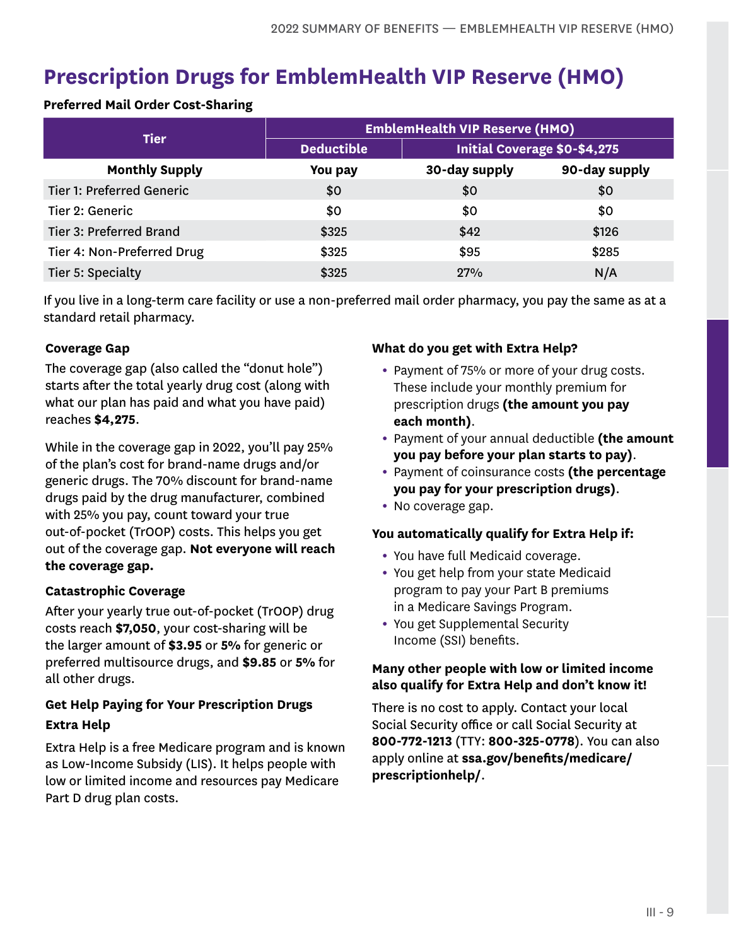# **Prescription Drugs for EmblemHealth VIP Reserve (HMO)**

#### **Preferred Mail Order Cost-Sharing**

|                            | <b>EmblemHealth VIP Reserve (HMO)</b> |                                     |               |  |
|----------------------------|---------------------------------------|-------------------------------------|---------------|--|
| <b>Tier</b>                | <b>Deductible</b>                     | <b>Initial Coverage \$0-\$4,275</b> |               |  |
| <b>Monthly Supply</b>      | You pay                               | 30-day supply                       | 90-day supply |  |
| Tier 1: Preferred Generic  | \$0                                   | \$0                                 | \$0           |  |
| Tier 2: Generic            | \$0                                   | \$0                                 | \$0           |  |
| Tier 3: Preferred Brand    | \$325                                 | \$42                                | \$126         |  |
| Tier 4: Non-Preferred Drug | \$325                                 | \$95                                | \$285         |  |
| Tier 5: Specialty          | \$325                                 | 27%                                 | N/A           |  |

If you live in a long-term care facility or use a non-preferred mail order pharmacy, you pay the same as at a standard retail pharmacy.

#### **Coverage Gap**

The coverage gap (also called the "donut hole") starts after the total yearly drug cost (along with what our plan has paid and what you have paid) reaches **\$4,275**.

While in the coverage gap in 2022, you'll pay 25% of the plan's cost for brand-name drugs and/or generic drugs. The 70% discount for brand-name drugs paid by the drug manufacturer, combined with 25% you pay, count toward your true out-of-pocket (TrOOP) costs. This helps you get out of the coverage gap. **Not everyone will reach the coverage gap.**

#### **Catastrophic Coverage**

After your yearly true out-of-pocket (TrOOP) drug costs reach **\$7,050**, your cost-sharing will be the larger amount of **\$3.95** or **5%** for generic or preferred multisource drugs, and **\$9.85** or **5%** for all other drugs.

### **Get Help Paying for Your Prescription Drugs Extra Help**

Extra Help is a free Medicare program and is known as Low-Income Subsidy (LIS). It helps people with low or limited income and resources pay Medicare Part D drug plan costs.

#### **What do you get with Extra Help?**

- Payment of 75% or more of your drug costs. These include your monthly premium for prescription drugs **(the amount you pay each month)**.
- Payment of your annual deductible **(the amount you pay before your plan starts to pay)**.
- Payment of coinsurance costs **(the percentage you pay for your prescription drugs)**.
- No coverage gap.

#### **You automatically qualify for Extra Help if:**

- You have full Medicaid coverage.
- You get help from your state Medicaid program to pay your Part B premiums in a Medicare Savings Program.
- You get Supplemental Security Income (SSI) benefits.

#### **Many other people with low or limited income also qualify for Extra Help and don't know it!**

There is no cost to apply. Contact your local Social Security office or call Social Security at **800-772-1213** (TTY: **800-325-0778**). You can also apply online at **ssa.gov/benefits/medicare/ prescriptionhelp/**.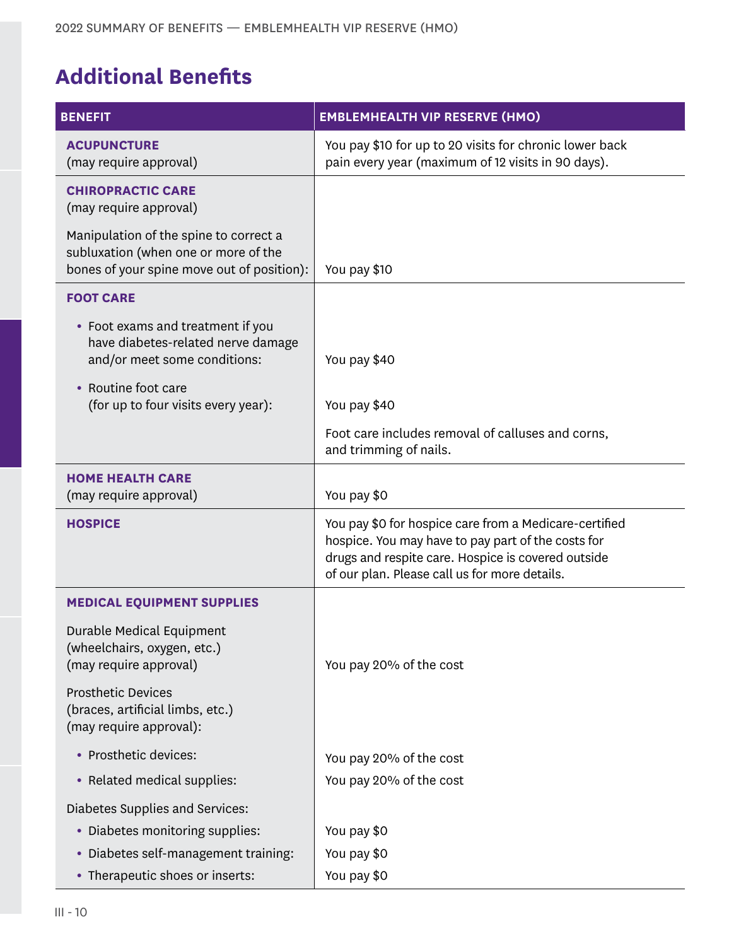# **Additional Benefits**

| <b>BENEFIT</b>                                                                                                               | <b>EMBLEMHEALTH VIP RESERVE (HMO)</b>                                                                                                                                                                               |
|------------------------------------------------------------------------------------------------------------------------------|---------------------------------------------------------------------------------------------------------------------------------------------------------------------------------------------------------------------|
| <b>ACUPUNCTURE</b><br>(may require approval)                                                                                 | You pay \$10 for up to 20 visits for chronic lower back<br>pain every year (maximum of 12 visits in 90 days).                                                                                                       |
| <b>CHIROPRACTIC CARE</b><br>(may require approval)                                                                           |                                                                                                                                                                                                                     |
| Manipulation of the spine to correct a<br>subluxation (when one or more of the<br>bones of your spine move out of position): | You pay \$10                                                                                                                                                                                                        |
| <b>FOOT CARE</b>                                                                                                             |                                                                                                                                                                                                                     |
| • Foot exams and treatment if you<br>have diabetes-related nerve damage<br>and/or meet some conditions:                      | You pay \$40                                                                                                                                                                                                        |
| • Routine foot care                                                                                                          |                                                                                                                                                                                                                     |
| (for up to four visits every year):                                                                                          | You pay \$40                                                                                                                                                                                                        |
|                                                                                                                              | Foot care includes removal of calluses and corns,<br>and trimming of nails.                                                                                                                                         |
| <b>HOME HEALTH CARE</b><br>(may require approval)                                                                            | You pay \$0                                                                                                                                                                                                         |
| <b>HOSPICE</b>                                                                                                               | You pay \$0 for hospice care from a Medicare-certified<br>hospice. You may have to pay part of the costs for<br>drugs and respite care. Hospice is covered outside<br>of our plan. Please call us for more details. |
| <b>MEDICAL EQUIPMENT SUPPLIES</b>                                                                                            |                                                                                                                                                                                                                     |
| Durable Medical Equipment<br>(wheelchairs, oxygen, etc.)<br>(may require approval)                                           | You pay 20% of the cost                                                                                                                                                                                             |
| <b>Prosthetic Devices</b><br>(braces, artificial limbs, etc.)<br>(may require approval):                                     |                                                                                                                                                                                                                     |
| • Prosthetic devices:                                                                                                        | You pay 20% of the cost                                                                                                                                                                                             |
| • Related medical supplies:                                                                                                  | You pay 20% of the cost                                                                                                                                                                                             |
| Diabetes Supplies and Services:                                                                                              |                                                                                                                                                                                                                     |
| • Diabetes monitoring supplies:                                                                                              | You pay \$0                                                                                                                                                                                                         |
| • Diabetes self-management training:                                                                                         | You pay \$0                                                                                                                                                                                                         |
| • Therapeutic shoes or inserts:                                                                                              | You pay \$0                                                                                                                                                                                                         |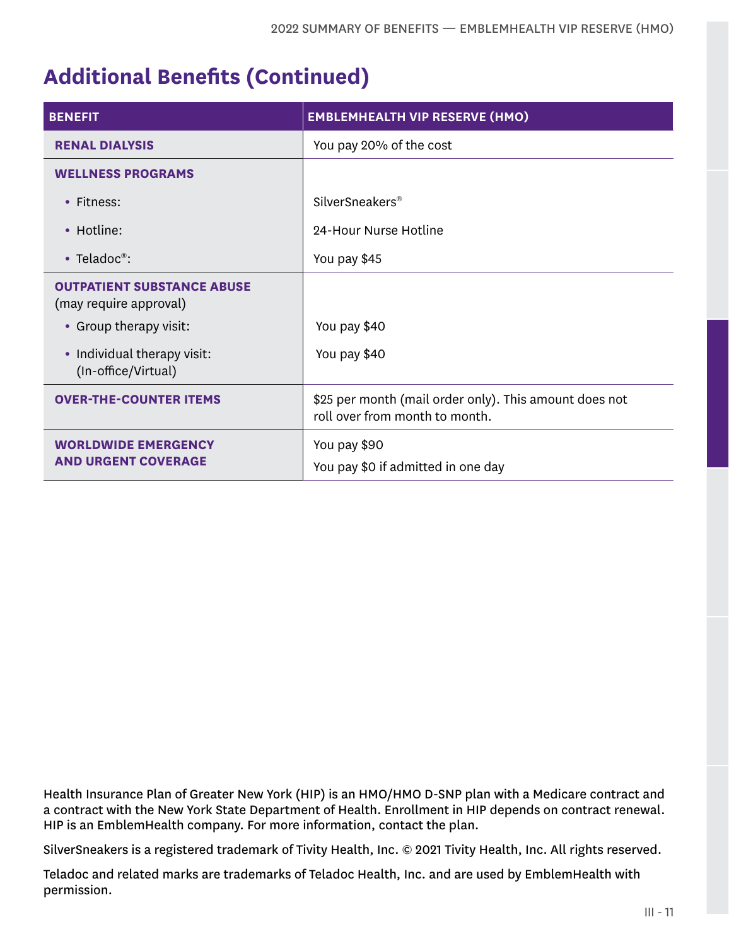# **Additional Benefits (Continued)**

| <b>BENEFIT</b>                                              | <b>EMBLEMHEALTH VIP RESERVE (HMO)</b>                                                    |
|-------------------------------------------------------------|------------------------------------------------------------------------------------------|
| <b>RENAL DIALYSIS</b>                                       | You pay 20% of the cost                                                                  |
| <b>WELLNESS PROGRAMS</b>                                    |                                                                                          |
| • Fitness:                                                  | SilverSneakers <sup>®</sup>                                                              |
| • Hotline:                                                  | 24-Hour Nurse Hotline                                                                    |
| • Teladoc <sup>®</sup> :                                    | You pay \$45                                                                             |
| <b>OUTPATIENT SUBSTANCE ABUSE</b><br>(may require approval) |                                                                                          |
| • Group therapy visit:                                      | You pay \$40                                                                             |
| • Individual therapy visit:<br>(In-office/Virtual)          | You pay \$40                                                                             |
| <b>OVER-THE-COUNTER ITEMS</b>                               | \$25 per month (mail order only). This amount does not<br>roll over from month to month. |
| <b>WORLDWIDE EMERGENCY</b><br><b>AND URGENT COVERAGE</b>    | You pay \$90<br>You pay \$0 if admitted in one day                                       |

Health Insurance Plan of Greater New York (HIP) is an HMO/HMO D-SNP plan with a Medicare contract and a contract with the New York State Department of Health. Enrollment in HIP depends on contract renewal. HIP is an EmblemHealth company. For more information, contact the plan.

SilverSneakers is a registered trademark of Tivity Health, Inc. © 2021 Tivity Health, Inc. All rights reserved.

Teladoc and related marks are trademarks of Teladoc Health, Inc. and are used by EmblemHealth with permission.